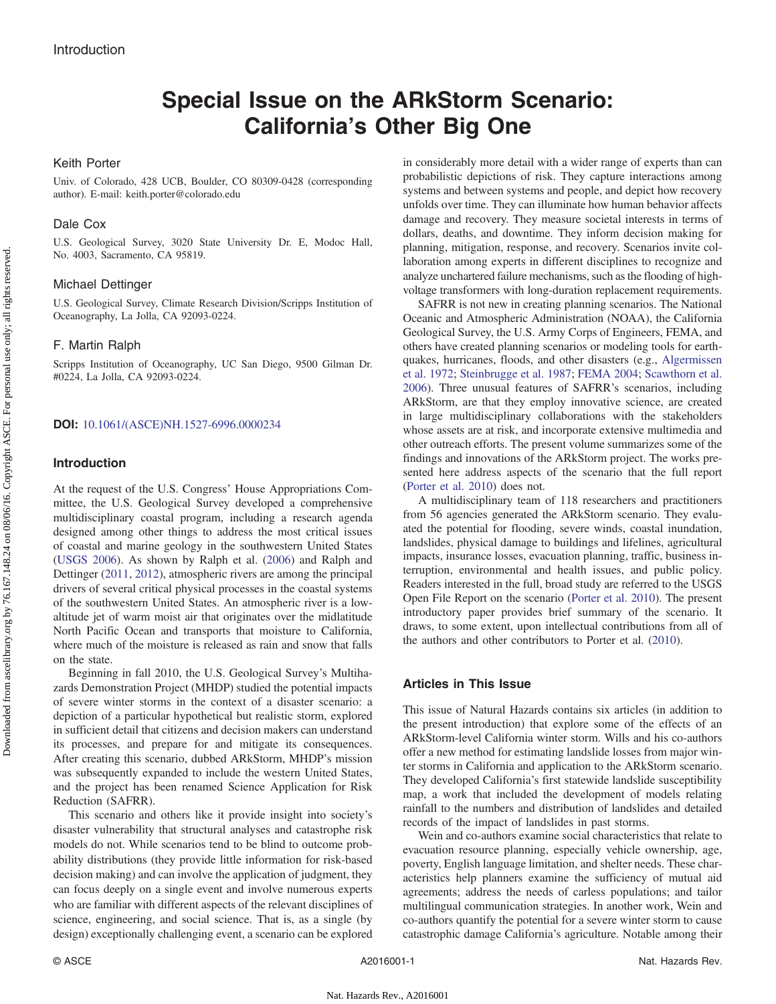# Special Issue on the ARkStorm Scenario: California's Other Big One

#### Keith Porter

Univ. of Colorado, 428 UCB, Boulder, CO 80309-0428 (corresponding author). E-mail: [keith.porter@colorado.edu](mailto:keith.porter@colorado.edu)

## Dale Cox

U.S. Geological Survey, 3020 State University Dr. E, Modoc Hall, No. 4003, Sacramento, CA 95819.

#### Michael Dettinger

U.S. Geological Survey, Climate Research Division/Scripps Institution of Oceanography, La Jolla, CA 92093-0224.

## F. Martin Ralph

Scripps Institution of Oceanography, UC San Diego, 9500 Gilman Dr. #0224, La Jolla, CA 92093-0224.

#### DOI: [10.1061/\(ASCE\)NH.1527-6996.0000234](http://dx.doi.org/10.1061/(ASCE)NH.1527-6996.0000234)

## Introduction

At the request of the U.S. Congress' House Appropriations Committee, the U.S. Geological Survey developed a comprehensive multidisciplinary coastal program, including a research agenda designed among other things to address the most critical issues of coastal and marine geology in the southwestern United States [\(USGS 2006](#page-1-0)). As shown by Ralph et al. ([2006](#page-1-1)) and Ralph and Dettinger ([2011,](#page-1-2) [2012\)](#page-1-3), atmospheric rivers are among the principal drivers of several critical physical processes in the coastal systems of the southwestern United States. An atmospheric river is a lowaltitude jet of warm moist air that originates over the midlatitude North Pacific Ocean and transports that moisture to California, where much of the moisture is released as rain and snow that falls on the state.

Beginning in fall 2010, the U.S. Geological Survey's Multihazards Demonstration Project (MHDP) studied the potential impacts of severe winter storms in the context of a disaster scenario: a depiction of a particular hypothetical but realistic storm, explored in sufficient detail that citizens and decision makers can understand its processes, and prepare for and mitigate its consequences. After creating this scenario, dubbed ARkStorm, MHDP's mission was subsequently expanded to include the western United States, and the project has been renamed Science Application for Risk Reduction (SAFRR).

This scenario and others like it provide insight into society's disaster vulnerability that structural analyses and catastrophe risk models do not. While scenarios tend to be blind to outcome probability distributions (they provide little information for risk-based decision making) and can involve the application of judgment, they can focus deeply on a single event and involve numerous experts who are familiar with different aspects of the relevant disciplines of science, engineering, and social science. That is, as a single (by design) exceptionally challenging event, a scenario can be explored in considerably more detail with a wider range of experts than can probabilistic depictions of risk. They capture interactions among systems and between systems and people, and depict how recovery unfolds over time. They can illuminate how human behavior affects damage and recovery. They measure societal interests in terms of dollars, deaths, and downtime. They inform decision making for planning, mitigation, response, and recovery. Scenarios invite collaboration among experts in different disciplines to recognize and analyze unchartered failure mechanisms, such as the flooding of highvoltage transformers with long-duration replacement requirements.

SAFRR is not new in creating planning scenarios. The National Oceanic and Atmospheric Administration (NOAA), the California Geological Survey, the U.S. Army Corps of Engineers, FEMA, and others have created planning scenarios or modeling tools for earthquakes, hurricanes, floods, and other disasters (e.g., [Algermissen](#page-1-4) [et al. 1972;](#page-1-4) [Steinbrugge et al. 1987;](#page-1-5) [FEMA 2004;](#page-1-6) [Scawthorn et al.](#page-1-7) [2006](#page-1-7)). Three unusual features of SAFRR's scenarios, including ARkStorm, are that they employ innovative science, are created in large multidisciplinary collaborations with the stakeholders whose assets are at risk, and incorporate extensive multimedia and other outreach efforts. The present volume summarizes some of the findings and innovations of the ARkStorm project. The works presented here address aspects of the scenario that the full report [\(Porter et al. 2010\)](#page-1-8) does not.

A multidisciplinary team of 118 researchers and practitioners from 56 agencies generated the ARkStorm scenario. They evaluated the potential for flooding, severe winds, coastal inundation, landslides, physical damage to buildings and lifelines, agricultural impacts, insurance losses, evacuation planning, traffic, business interruption, environmental and health issues, and public policy. Readers interested in the full, broad study are referred to the USGS Open File Report on the scenario ([Porter et al. 2010](#page-1-8)). The present introductory paper provides brief summary of the scenario. It draws, to some extent, upon intellectual contributions from all of the authors and other contributors to Porter et al. ([2010\)](#page-1-8).

# Articles in This Issue

This issue of Natural Hazards contains six articles (in addition to the present introduction) that explore some of the effects of an ARkStorm-level California winter storm. Wills and his co-authors offer a new method for estimating landslide losses from major winter storms in California and application to the ARkStorm scenario. They developed California's first statewide landslide susceptibility map, a work that included the development of models relating rainfall to the numbers and distribution of landslides and detailed records of the impact of landslides in past storms.

Wein and co-authors examine social characteristics that relate to evacuation resource planning, especially vehicle ownership, age, poverty, English language limitation, and shelter needs. These characteristics help planners examine the sufficiency of mutual aid agreements; address the needs of carless populations; and tailor multilingual communication strategies. In another work, Wein and co-authors quantify the potential for a severe winter storm to cause catastrophic damage California's agriculture. Notable among their